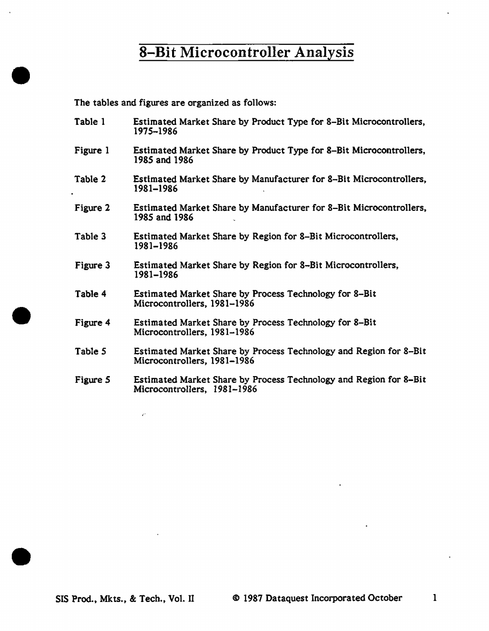The tables and figures are organized as follows:

•

•

•

Table 1 Figure 1 Table 2 Figure 2 Table 3 Figure 3 Table 4 Figure 4 Table *5*  Figure 5 Estimated Market Share by Product Type for 8-Bit Microcontrollers, 1975-1986 Estimated Market Share by Product Type for 8-Bit Microcontrollers, 1985 and 1986 Estimated Market Share by Manufacturer for 8-Bit Microcontrollers, 1981-1986 Estimated Market Share by Manufacturer for 8-Bit Microcontrollers, 1985 and 1986 Estimated Market Share by Region for 8-Bit Microcontrollers, 1981-1986 Estimated Market Share by Region for 8-Bit Microcontrollers, 1981-1986 Estimated Market Share by Process Technology for 8-Bit Microcontrollers, 1981-1986 Estimated Market Share by Process Technology for 8-Bit Microcontrollers, 1981-1986 Estimated Market Share by Process Technology and Region for 8-Bit Microcontrollers, 1981-1986 Estimated Market Share by Process Technology and Region for 8-Bit Microcontrollers, 1981-1986

•"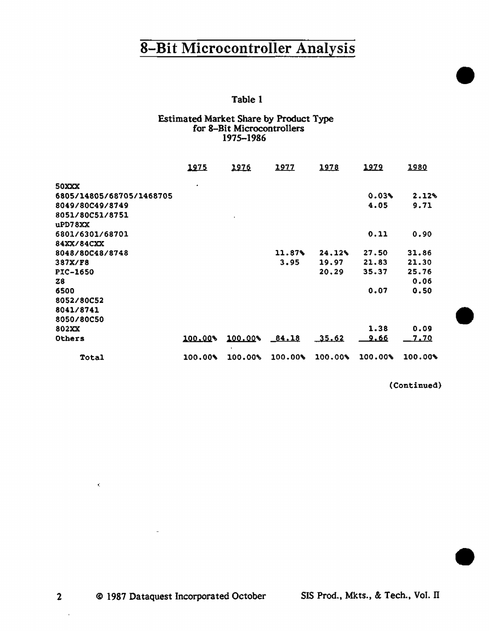# 8-Bit Microcontroller Analysis  $\frac{3 \text{ m/s}}{1 \text{ m/s}}$

### Estimated Market Share by Product Type for 8-Bit Microcontrollers 1975-1986

|                          | <u> 1975 </u> | 1976                 | <u> 1977 </u> | 1978    | <u> 1979</u> | <u> 1980</u> |
|--------------------------|---------------|----------------------|---------------|---------|--------------|--------------|
| <b>50XXX</b>             | $\bullet$     |                      |               |         |              |              |
| 6805/14805/68705/1468705 |               |                      |               |         | 0.03%        | 2.12%        |
| 8049/80C49/8749          |               |                      |               |         | 4.05         | 9.71         |
| 8051/80C51/8751          |               | $\ddot{\phantom{0}}$ |               |         |              |              |
| uPD78XX                  |               |                      |               |         |              |              |
| 6801/6301/68701          |               |                      |               |         | 0.11         | 0.90         |
| 84XX/84CXX               |               |                      |               |         |              |              |
| 8048/80C48/8748          |               |                      | 11.87%        | 24.12%  | 27.50        | 31.86        |
| 387X/F8                  |               |                      | 3.95          | 19.97   | 21.83        | 21.30        |
| <b>PIC-1650</b>          |               |                      |               | 20.29   | 35.37        | 25.76        |
| Z8                       |               |                      |               |         |              | 0.06         |
| 6500                     |               |                      |               |         | 0.07         | 0.50         |
| 8052/80C52               |               |                      |               |         |              |              |
| 8041/8741                |               |                      |               |         |              |              |
| 8050/80C50               |               |                      |               |         |              |              |
| <b>802XX</b>             |               |                      |               |         | 1.38         | 0.09         |
| Others                   | 100.00%       | 100.00%              | 84.18         | 35.62   | <u>9.66</u>  | <u>7.70</u>  |
| Total                    | 100.00%       | 100.00%              | 100.00        | 100.00% | 100.00%      | $100.00*$    |

(Continued)

•

2 © 1987 Dataquest Incorporated October SIS Prod., Mkts., & Tech., Vol. II

 $\bar{1}$ 

 $\hat{\mathbf{r}}_i$ 

 $\overline{a}$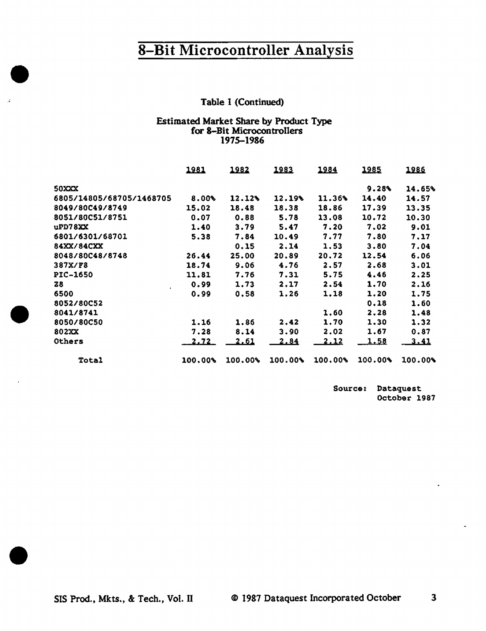### Table 1 (Continued)

#### Estimated Market Share by Product Type for 8-Bit Microcontrollers 1975-1986

|                          | 1981         | 1982        | 1983        | 1984        | 1985        | 1986        |
|--------------------------|--------------|-------------|-------------|-------------|-------------|-------------|
| <b>50XXX</b>             |              |             |             |             | 9.28        | 14.65%      |
| 6805/14805/68705/1468705 | $8.00*$      | 12.12%      | 12.19%      | 11.36%      | 14.40       | 14.57       |
| 8049/80C49/8749          | 15.02        | 18.48       | 18.38       | 18.86       | 17.39       | 13.35       |
| 8051/80C51/8751          | 0.07         | 0.88        | 5.78        | 13.08       | 10.72       | 10.30       |
| uPD78XX                  | 1.40         | 3.79        | 5.47        | 7.20        | 7.02        | 9.01        |
| 6801/6301/68701          | 5.38         | 7.84        | 10.49       | 7.77        | 7.80        | 7.17        |
| 84XX/84CXX               |              | 0.15        | 2.14        | 1.53        | 3.80        | 7.04        |
| 8048/80C48/8748          | 26.44        | 25.00       | 20.89       | 20.72       | 12.54       | 6.06        |
| 387X/F8                  | 18.74        | 9.06        | 4.76        | 2.57        | 2.68        | 3.01        |
| PIC-1650                 | 11.81        | 7.76        | 7.31        | 5.75        | 4.46        | 2.25        |
| 28                       | 0.99         | 1.73        | 2,17        | 2.54        | 1.70        | 2.16        |
| 6500                     | 0.99         | 0.58        | 1.26        | 1.18        | 1,20        | 1.75        |
| 8052/80C52               |              |             |             |             | 0.18        | 1.60        |
| 8041/8741                |              |             |             | 1.60        | 2.28        | 1.48        |
| 8050/80C50               | 1.16         | 1.86        | 2.42        | 1.70        | 1.30        | 1.32        |
| 802XX                    | 7.28         | 8.14        | 3.90        | 2.02        | 1.67        | 0.87        |
| Others                   | <u>2.72 </u> | <u>2.61</u> | <u>2.84</u> | <u>2.12</u> | <u>1.58</u> | <u>3.41</u> |
| <b>Total</b>             | 100.00%      | 100.00%     | 100.00%     | 100.00      | 100.00%     | 100.00%     |

Source: Dataquest October 1987

 $\bullet$ 

•

•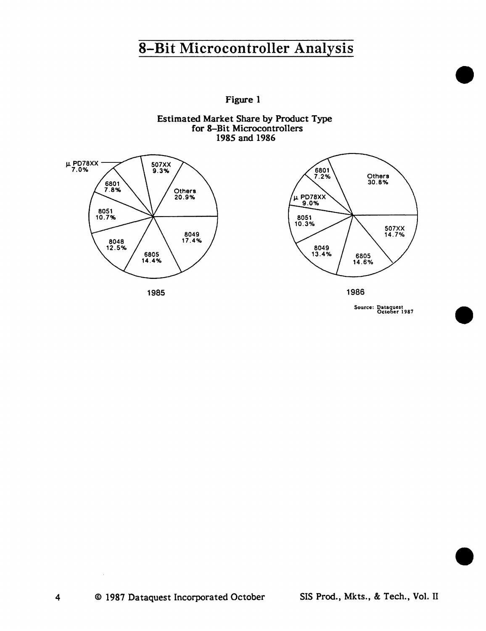Figure 1





Source: Dataquest<br>October 1987

•

•

•

4

 $\sim$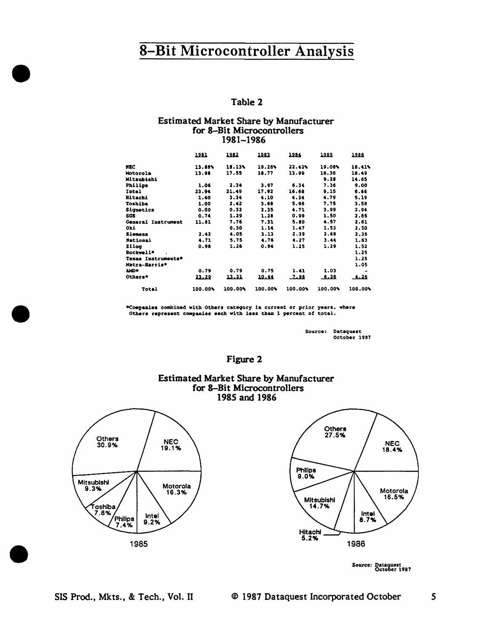#### Table 2

#### **Estimated Market Share by Manufacturer** for 8-Bit Microcontrollers 1981-1986

|                    | 1281    | 1982    | 1982    | 1984    | 1985    | 1986    |
|--------------------|---------|---------|---------|---------|---------|---------|
| MEC                | 13.68%  | 18.13%  | 19.26%  | 22.42%  | 19.08%  | 18.41%  |
| Motorola           | 13.98   | 17.55   | 18.77   | 13.99   | 16.30   | 16.49   |
| Mitsubishi         |         |         |         |         | 9.28    | 14.65   |
| Philips            | 1.06    | 2.34    | 3.97    | 6.34    | 7.36    | 9.00    |
| Intel              | 23.94   | 21.49   | 17.92   | 16.68   | 9.15    | 8.66    |
| <b>Hitachi</b>     | 1.40    | 3.34    | 4.10    | 4.34    | 4.79    | 5.19    |
| Toshiba            | 1.00    | 2.42    | 3.88    | 5.96    | 7.75    | 3.58    |
| Signatics          | 0.00    | 0.32    | 2.35    | 4.71    | 3.99    | 2.94    |
| SGS                | 0.74    | 1.29    | 1.28    | 0.99    | 1.50    | 2.65    |
| General Instrument | 11.81   | 7.76    | 7.31    | 5.80    | 4.57    | 2.61    |
| Oki                |         | 0.30    | 1.14    | 1.47    | 1.53    | 2.50    |
| Siemens            | 2.42    | 4.05    | 3.13    | 2.39    | 2.68    | 2.36    |
| National           | 4.71    | 5.75    | 4.76    | 4.27    | 3.44    | 1.63    |
| Zilog              | 0.98    | 1.26    | 0.94    | 1.25    | 1.29    | 1.52    |
| Rockwell*          |         |         |         |         |         | 1.25    |
| Texas Instruments* |         |         |         |         |         | 1.25    |
| Matra-Harris*      |         |         |         |         |         | 1.05    |
| <b>ND+</b>         | 0.79    | 0.79    | 0.75    | 1.41    | 1.03    |         |
| Others*            | 23.22   | 13.21   | 10.44   | 22 هـ   | 5.26    | فقبك    |
| Total              | 100.00% | 100.00% | 100.00% | 100.00% | 100.00% | 100.00% |

\*Companies combined with Others category in current or prior years, where Others represent companies each with less than 1 percent of total.

> Source: Dataquest October 1987

### Figure 2

### **Estimated Market Share by Manufacturer** for 8-Bit Microcontrollers 1985 and 1986





Source: Dataquest<br>October 1987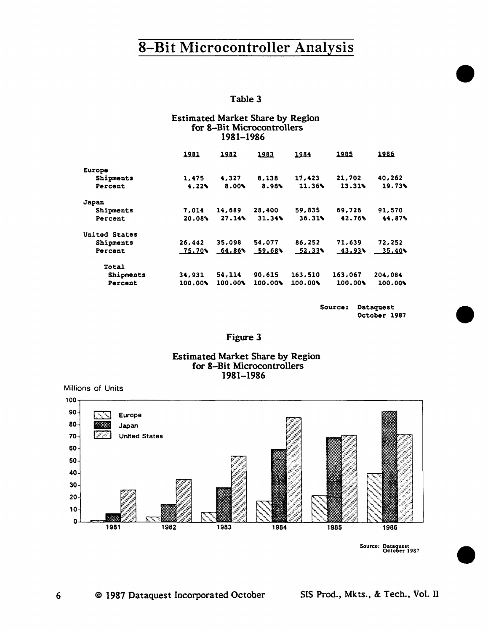#### Table 3

#### **Estimated Market Share by Region** for 8-Bit Microcontrollers 1981-1986

|               | 1981    | 1982    | 1983    | 1984    | 1985      | 1986    |
|---------------|---------|---------|---------|---------|-----------|---------|
| Europe        |         |         |         |         |           |         |
| Shipments     | 1,475   | 4,327   | 8,138   | 17.423  | 21,702    | 40,262  |
| Percent       | 4.22    | 8.00%   | 8.98    | 11.36%  | 13.31     | 19.73%  |
| Japan         |         |         |         |         |           |         |
| Shipments     | 7,014   | 14,689  | 28,400  | 59,835  | 69,726    | 91,570  |
| Percent       | 20.08%  | 27.14   | 31.34   | 36.31%  | 42.76%    | 44.87%  |
| United States |         |         |         |         |           |         |
| Shipments     | 26,442  | 35,098  | 54,077  | 86,252  | 71,639    | 72,252  |
| Percent       | 75.70%  | 64.86   | 59.68%  | 52.33%  | $-43.93*$ | 35.40   |
| Total         |         |         |         |         |           |         |
| Shipments     | 34,931  | 54,114  | 90,615  | 163,510 | 163,067   | 204,084 |
| Percent       | 100.00% | 100.00% | 100.00% | 100.00% | 100.00%   | 100.00% |

Source: Dataquest October 1987

### Figure 3

### **Estimated Market Share by Region** for 8-Bit Microcontrollers 1981-1986

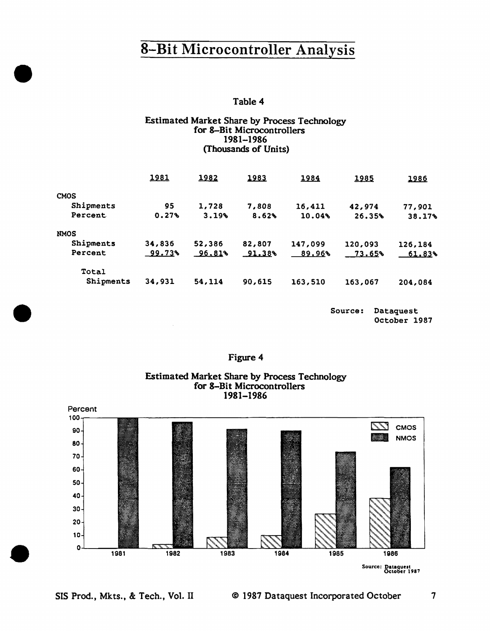Table 4

### Estimated Market Share by Process Technology for 8-Bit Microcontrollers 1981-1986 (Thousands of Units)

|             | 1981   | 1982   | 1983   | 1984    | 1985    | 1986    |
|-------------|--------|--------|--------|---------|---------|---------|
| <b>CMOS</b> |        |        |        |         |         |         |
| Shipments   | 95     | 1,728  | 7,808  | 16,411  | 42,974  | 77,901  |
| Percent     | 0.27%  | 3.19%  | 8.62%  | 10.04%  | 26.35%  | 38.17%  |
| <b>NMOS</b> |        |        |        |         |         |         |
| Shipments   | 34,836 | 52,386 | 82,807 | 147,099 | 120,093 | 126,184 |
| Percent     | 99.73% | 96.81% | 91.38% | 89.96%  | 73.65%  | 61.83%  |
| Total       |        |        |        |         |         |         |
| Shipments   | 34,931 | 54,114 | 90,615 | 163,510 | 163,067 | 204,084 |

Source: Dataquest October 1987



Figure 4

 $\boldsymbol{7}$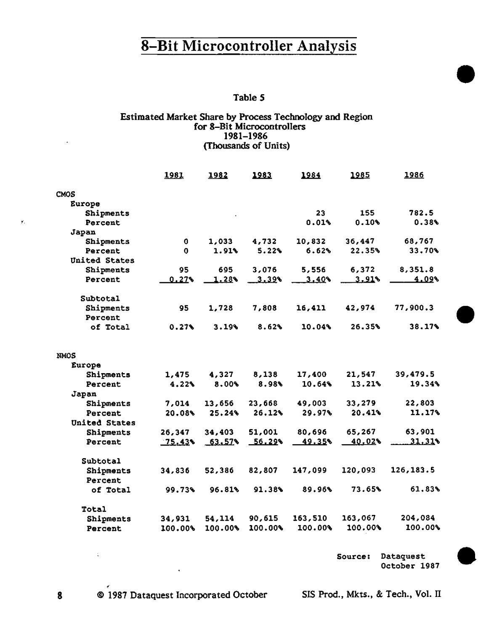# 8-Bit Microcontroller Analysis  $\frac{1}{\sqrt{1-\frac{1}{2}}}\left\{\frac{1}{\sqrt{1-\frac{1}{2}}}\right\}$ Table 5

### Estimated Market Share by Process Technology and Region for 8-Bit Microcontrollers 1981-1986 (Thousands of Units)

|               | 1981     | 1982    | 1983    | 1984    | 1985    | 1986       |
|---------------|----------|---------|---------|---------|---------|------------|
| <b>CMOS</b>   |          |         |         |         |         |            |
| Europe        |          |         |         |         |         |            |
| Shipments     |          |         |         | 23      | 155     | 782.5      |
| Percent       |          |         |         | 0.01%   | 0.10%   | 0.38%      |
| Japan         |          |         |         |         |         |            |
| Shipments     | 0        | 1,033   | 4,732   | 10,832  | 36,447  | 68,767     |
| Percent       | 0        | 1.91%   | 5.22%   | 6.62%   | 22.35%  | 33.70%     |
| United States |          |         |         |         |         |            |
| Shipments     | 95       | 695     | 3,076   | 5,556   | 6,372   | 8,351.8    |
| Percent       | 0.27%    | 1.28    | 3.39    | 3.40%   | 3.91%   | 4.098      |
| Subtotal      |          |         |         |         |         |            |
| Shipments     | 95       | 1,728   | 7,808   | 16,411  | 42,974  | 77,900.3   |
| Percent       |          |         |         |         |         |            |
| of Total      | 0.27%    | 3.19%   | 8.62%   | 10.04%  | 26.35%  | 38.17%     |
| <b>NMOS</b>   |          |         |         |         |         |            |
| <b>Europe</b> |          |         |         |         |         |            |
| Shipments     | 1,475    | 4,327   | 8,138   | 17,400  | 21,547  | 39,479.5   |
| Percent       | 4.22%    | 8.00%   | 8.98%   | 10.64%  | 13.21%  | 19,34%     |
| Japan         |          |         |         |         |         |            |
| Shipments     | 7,014    | 13,656  | 23,668  | 49,003  | 33,279  | 22,803     |
| Percent       | 20.08%   | 25.24%  | 26.12%  | 29.97%  | 20.41%  | 11.17%     |
| United States |          |         |         |         |         |            |
| Shipments     | 26,347   | 34,403  | 51,001  | 80,696  | 65,267  | 63,901     |
| Percent       | $-75.43$ | 63.57   | 56.29%  | 49.35%  | 40.02%  | $31.31*$   |
| Subtotal      |          |         |         |         |         |            |
| Shipments     | 34,836   | 52,386  | 82,807  | 147,099 | 120,093 | 126, 183.5 |
| Percent       |          |         |         |         |         |            |
| of Total      | 99.73%   | 96.81%  | 91.38%  | 89.96%  | 73.65%  | 61.83%     |
| Total         |          |         |         |         |         |            |
| Shipments     | 34,931   | 54,114  | 90,615  | 163,510 | 163,067 | 204,084    |
| Percent       | 100.00%  | 100.00% | 100.00% | 100.00% | 100.00% | 100.00%    |

Source: Dataquest<br>October 1987

8 © 1987 Dataquest Incorporated October SIS Prod., Mkts., & Tech., Vol. II

..

 $\mathbb{C}$